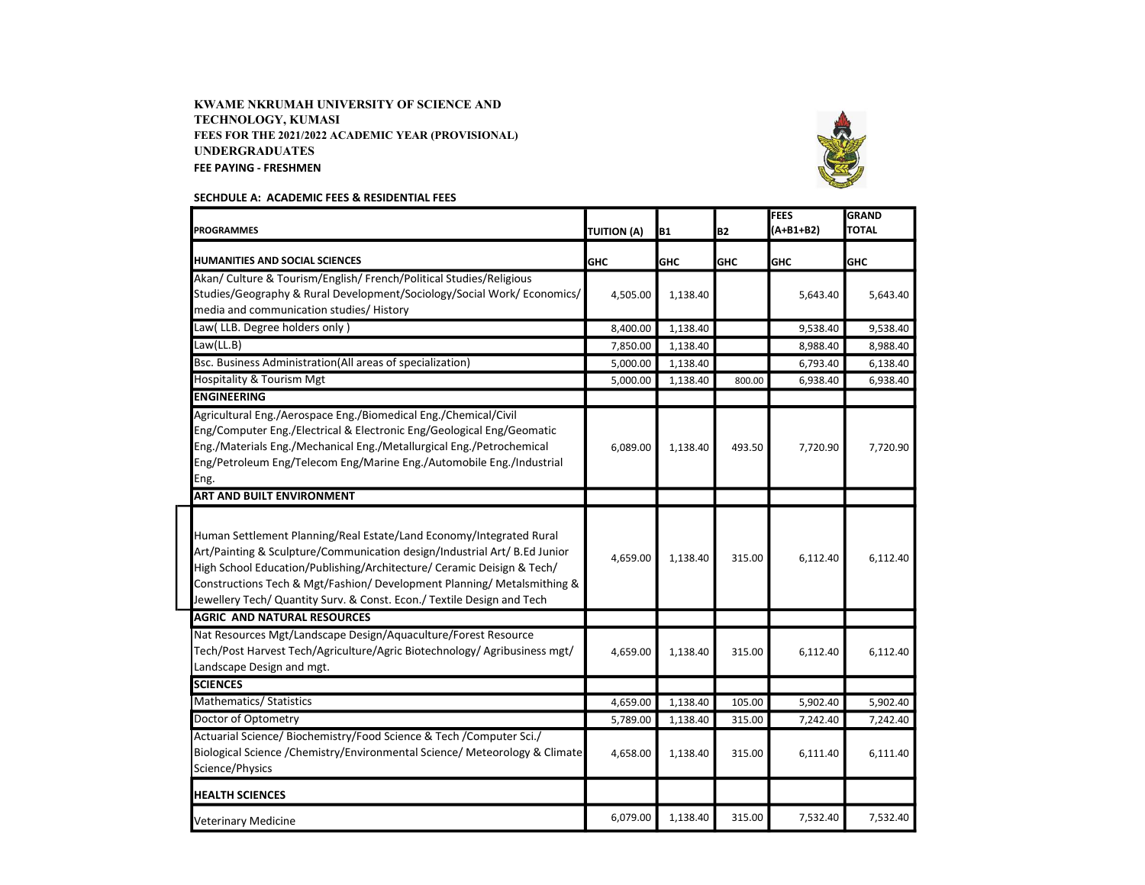## KWAME NKRUMAH UNIVERSITY OF SCIENCE AND TECHNOLOGY, KUMASI FEES FOR THE 2021/2022 ACADEMIC YEAR (PROVISIONAL) UNDERGRADUATES FEE PAYING - FRESHMEN



## SECHDULE A: ACADEMIC FEES & RESIDENTIAL FEES

| <b>PROGRAMMES</b>                                                                                                                                                                                                                                                                                                                                                               | <b>TUITION (A)</b> | <b>B1</b>  | <b>B2</b>  | <b>FEES</b><br>$(A+B1+B2)$ | <b>GRAND</b><br><b>TOTAL</b> |
|---------------------------------------------------------------------------------------------------------------------------------------------------------------------------------------------------------------------------------------------------------------------------------------------------------------------------------------------------------------------------------|--------------------|------------|------------|----------------------------|------------------------------|
| <b>HUMANITIES AND SOCIAL SCIENCES</b>                                                                                                                                                                                                                                                                                                                                           | <b>GHC</b>         | <b>GHC</b> | <b>GHC</b> | <b>GHC</b>                 | <b>GHC</b>                   |
| Akan/ Culture & Tourism/English/ French/Political Studies/Religious<br>Studies/Geography & Rural Development/Sociology/Social Work/ Economics/<br>media and communication studies/ History                                                                                                                                                                                      | 4,505.00           | 1,138.40   |            | 5,643.40                   | 5,643.40                     |
| Law(LLB. Degree holders only)                                                                                                                                                                                                                                                                                                                                                   | 8,400.00           | 1,138.40   |            | 9,538.40                   | 9,538.40                     |
| Law(LL.B)                                                                                                                                                                                                                                                                                                                                                                       | 7,850.00           | 1,138.40   |            | 8,988.40                   | 8,988.40                     |
| Bsc. Business Administration(All areas of specialization)                                                                                                                                                                                                                                                                                                                       | 5,000.00           | 1,138.40   |            | 6,793.40                   | 6,138.40                     |
| Hospitality & Tourism Mgt                                                                                                                                                                                                                                                                                                                                                       | 5,000.00           | 1,138.40   | 800.00     | 6,938.40                   | 6,938.40                     |
| <b>ENGINEERING</b>                                                                                                                                                                                                                                                                                                                                                              |                    |            |            |                            |                              |
| Agricultural Eng./Aerospace Eng./Biomedical Eng./Chemical/Civil<br>Eng/Computer Eng./Electrical & Electronic Eng/Geological Eng/Geomatic<br>Eng./Materials Eng./Mechanical Eng./Metallurgical Eng./Petrochemical<br>Eng/Petroleum Eng/Telecom Eng/Marine Eng./Automobile Eng./Industrial<br>Eng.                                                                                | 6,089.00           | 1,138.40   | 493.50     | 7,720.90                   | 7,720.90                     |
| <b>ART AND BUILT ENVIRONMENT</b>                                                                                                                                                                                                                                                                                                                                                |                    |            |            |                            |                              |
| Human Settlement Planning/Real Estate/Land Economy/Integrated Rural<br>Art/Painting & Sculpture/Communication design/Industrial Art/ B.Ed Junior<br>High School Education/Publishing/Architecture/ Ceramic Deisign & Tech/<br>Constructions Tech & Mgt/Fashion/ Development Planning/ Metalsmithing &<br>Jewellery Tech/ Quantity Surv. & Const. Econ./ Textile Design and Tech | 4,659.00           | 1,138.40   | 315.00     | 6,112.40                   | 6,112.40                     |
| <b>AGRIC AND NATURAL RESOURCES</b>                                                                                                                                                                                                                                                                                                                                              |                    |            |            |                            |                              |
| Nat Resources Mgt/Landscape Design/Aquaculture/Forest Resource<br>Tech/Post Harvest Tech/Agriculture/Agric Biotechnology/ Agribusiness mgt/<br>Landscape Design and mgt.                                                                                                                                                                                                        | 4,659.00           | 1,138.40   | 315.00     | 6,112.40                   | 6,112.40                     |
| <b>SCIENCES</b>                                                                                                                                                                                                                                                                                                                                                                 |                    |            |            |                            |                              |
| Mathematics/ Statistics                                                                                                                                                                                                                                                                                                                                                         | 4,659.00           | 1,138.40   | 105.00     | 5,902.40                   | 5,902.40                     |
| Doctor of Optometry                                                                                                                                                                                                                                                                                                                                                             | 5,789.00           | 1,138.40   | 315.00     | 7,242.40                   | 7,242.40                     |
| Actuarial Science/ Biochemistry/Food Science & Tech /Computer Sci./<br>Biological Science / Chemistry/Environmental Science/ Meteorology & Climate<br>Science/Physics                                                                                                                                                                                                           | 4,658.00           | 1,138.40   | 315.00     | 6,111.40                   | 6,111.40                     |
| <b>HEALTH SCIENCES</b>                                                                                                                                                                                                                                                                                                                                                          |                    |            |            |                            |                              |
| Veterinary Medicine                                                                                                                                                                                                                                                                                                                                                             | 6,079.00           | 1,138.40   | 315.00     | 7,532.40                   | 7,532.40                     |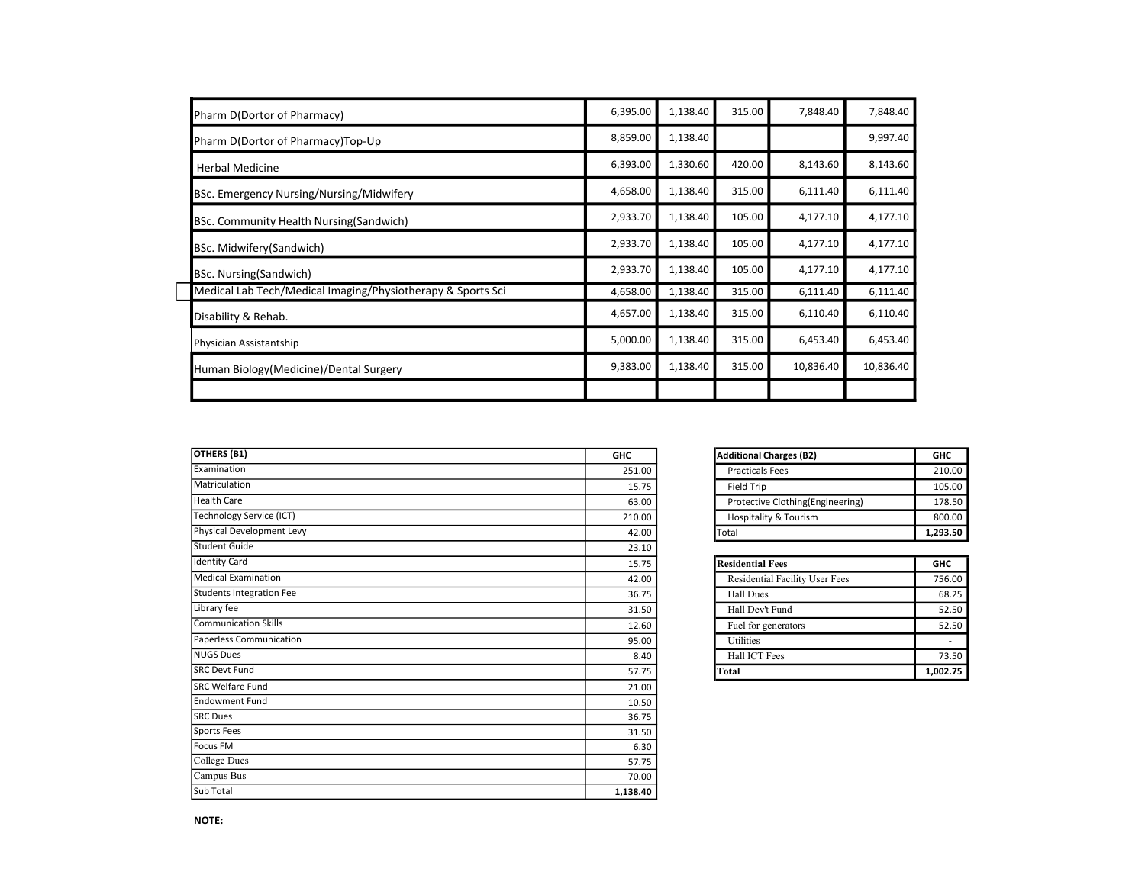| Pharm D(Dortor of Pharmacy)                                 | 6,395.00 | 1,138.40 | 315.00 | 7,848.40  | 7,848.40  |
|-------------------------------------------------------------|----------|----------|--------|-----------|-----------|
| Pharm D(Dortor of Pharmacy)Top-Up                           | 8,859.00 | 1,138.40 |        |           | 9,997.40  |
| <b>Herbal Medicine</b>                                      | 6,393.00 | 1,330.60 | 420.00 | 8,143.60  | 8,143.60  |
| BSc. Emergency Nursing/Nursing/Midwifery                    | 4,658.00 | 1,138.40 | 315.00 | 6,111.40  | 6,111.40  |
| BSc. Community Health Nursing(Sandwich)                     | 2,933.70 | 1,138.40 | 105.00 | 4,177.10  | 4,177.10  |
| BSc. Midwifery (Sandwich)                                   | 2,933.70 | 1,138.40 | 105.00 | 4,177.10  | 4,177.10  |
| BSc. Nursing(Sandwich)                                      | 2,933.70 | 1,138.40 | 105.00 | 4,177.10  | 4,177.10  |
| Medical Lab Tech/Medical Imaging/Physiotherapy & Sports Sci | 4,658.00 | 1,138.40 | 315.00 | 6,111.40  | 6,111.40  |
| Disability & Rehab.                                         | 4,657.00 | 1,138.40 | 315.00 | 6,110.40  | 6,110.40  |
| Physician Assistantship                                     | 5,000.00 | 1,138.40 | 315.00 | 6,453.40  | 6,453.40  |
| Human Biology (Medicine) / Dental Surgery                   | 9,383.00 | 1,138.40 | 315.00 | 10,836.40 | 10,836.40 |
|                                                             |          |          |        |           |           |

| <b>OTHERS (B1)</b>              | <b>GHC</b> | <b>Additional Charges (B2)</b>   | <b>GHC</b> |
|---------------------------------|------------|----------------------------------|------------|
| Examination                     | 251.00     | <b>Practicals Fees</b>           | 210.00     |
| Matriculation                   | 15.75      | Field Trip                       | 105.00     |
| <b>Health Care</b>              | 63.00      | Protective Clothing(Engineering) | 178.50     |
| <b>Technology Service (ICT)</b> | 210.00     | <b>Hospitality &amp; Tourism</b> | 800.00     |
| Physical Development Levy       | 42.00      | Total                            | 1,293.50   |
| Student Guide                   | 23.10      |                                  |            |
| <b>Identity Card</b>            | 15.75      | <b>Residential Fees</b>          | <b>GHC</b> |
| <b>Medical Examination</b>      | 42.00      | Residential Facility User Fees   | 756.00     |
| <b>Students Integration Fee</b> | 36.75      | <b>Hall Dues</b>                 | 68.25      |
| Library fee                     | 31.50      | Hall Dev't Fund                  | 52.50      |
| <b>Communication Skills</b>     | 12.60      | Fuel for generators              | 52.50      |
| Paperless Communication         | 95.00      | Utilities                        | $\sim$     |
| <b>NUGS Dues</b>                | 8.40       | Hall ICT Fees                    | 73.50      |
| <b>SRC Devt Fund</b>            | 57.75      | Total                            | 1,002.75   |
| <b>SRC Welfare Fund</b>         | 21.00      |                                  |            |
| <b>Endowment Fund</b>           | 10.50      |                                  |            |
| <b>SRC Dues</b>                 | 36.75      |                                  |            |
| Sports Fees                     | 31.50      |                                  |            |
| Focus FM                        | 6.30       |                                  |            |
| College Dues                    | 57.75      |                                  |            |
| Campus Bus                      | 70.00      |                                  |            |
| Sub Total                       | 1,138.40   |                                  |            |

| <b>Additional Charges (B2)</b>    | GHC      |
|-----------------------------------|----------|
| <b>Practicals Fees</b>            | 210.00   |
| <b>Field Trip</b>                 | 105.00   |
| Protective Clothing (Engineering) | 178.50   |
| Hospitality & Tourism             | 800.00   |
| otal                              | 1,293.50 |

| <b>Residential Fees</b>               | <b>GHC</b> |
|---------------------------------------|------------|
| <b>Residential Facility User Fees</b> | 756.00     |
| <b>Hall Dues</b>                      | 68.25      |
| Hall Dev't Fund                       | 52.50      |
| Fuel for generators                   | 52.50      |
| <b>Utilities</b>                      |            |
| Hall ICT Fees                         | 73.50      |
| Total                                 | 1,002.75   |